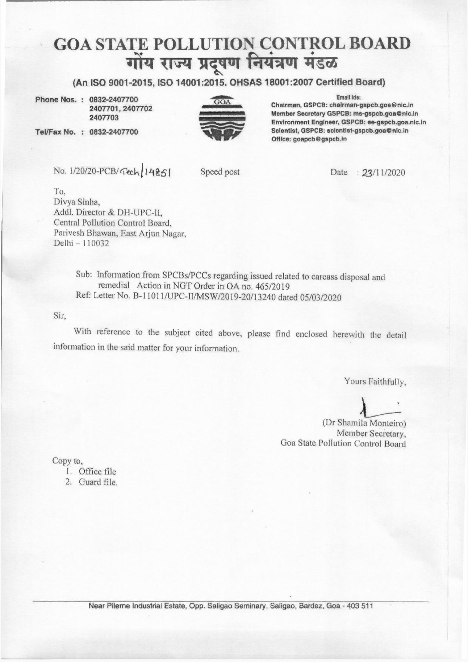## <u>GOA STATE POLLUTION CONTROL BOARD</u><br>सोंय गत्य पटषण नियंत्रण मंडळ **TE P<br>गोंय** .<br>.<br>. **(** .... **I** .**G** ,.... . **'**.• **.I**  LUTION CONTR<br>l प्रदूषण नियंत्रण मं <u>ROL BO</u><br>राउळ<br>राउळ

**(An ISO 9001-2015, ISO 14001:2015. OHSAS 18001:2007 Certified Board)** 

Phone Nos. : 0832~2407700 **2407701, 2407702** 2407703

Tel/Fax No. : 0832-2407700



Email Ids:

Chairman, GSPCB: chalrman-gspcb,goa@nlc.ln Member Secretary GSPCB: ms-gspcb.goa@nic.in Environment Engineer, GSPCB: ee-gspcb.goa.nlc.ln Scientist, GSPCB: scientist-gspcb.goa@nic.in Office: goapcb@gspcb.ln

No. 1/20/20-PCB/rech 14851

Speed post Date : 23/11/2020

To, Divya Sinha, .Addi. Director & DH-UPC-I!, Central Pollution Control Board, Parivesh Bhawan, East Arjun Nagar, Delhi - I 10032

> Sub: Information from SPCBs/PCCs regarding issued related to carcass disposal and remedial Action in NGT Order in OA no. 465/2019 Ref: Letter No. B-11011/UPC-LI/MSW/2019-20/J 3240 dated 05/03/2020

Sir,

With reference to the subject cited above, please find enclosed herewith the detail information in the said matter for your information.

Yours Faithfully,

 $\sum_{\text{la}\text{ Monteiro}}^{\text{rs} \text{ Faithfully}}$ 

(Dr Shamila Monteiro) Member Secretary, Goa State Pollution Control Board

Copy to,

- l. Oflicc file
- 2. Guard file.